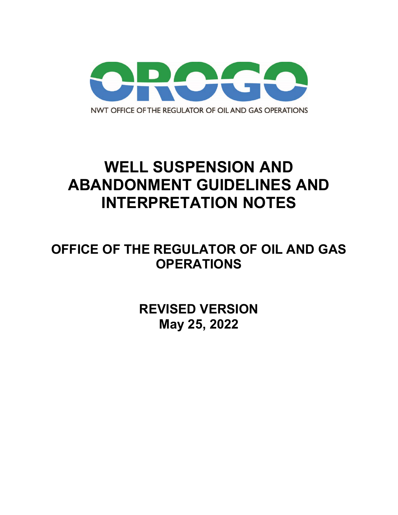

# **WELL SUSPENSION AND ABANDONMENT GUIDELINES AND INTERPRETATION NOTES**

# **OFFICE OF THE REGULATOR OF OIL AND GAS OPERATIONS**

**REVISED VERSION May 25, 2022**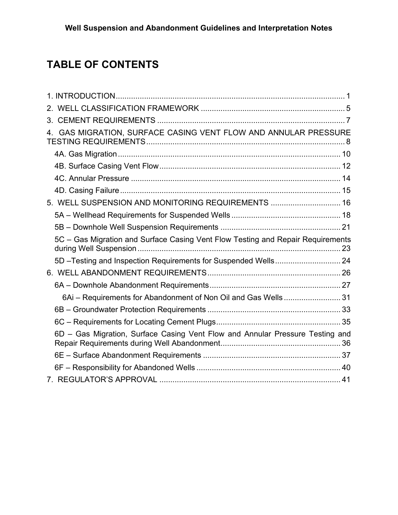## **TABLE OF CONTENTS**

| 4. GAS MIGRATION, SURFACE CASING VENT FLOW AND ANNULAR PRESSURE                 |  |
|---------------------------------------------------------------------------------|--|
|                                                                                 |  |
|                                                                                 |  |
|                                                                                 |  |
|                                                                                 |  |
| 5. WELL SUSPENSION AND MONITORING REQUIREMENTS  16                              |  |
|                                                                                 |  |
|                                                                                 |  |
| 5C - Gas Migration and Surface Casing Vent Flow Testing and Repair Requirements |  |
|                                                                                 |  |
|                                                                                 |  |
|                                                                                 |  |
| 6Ai - Requirements for Abandonment of Non Oil and Gas Wells 31                  |  |
|                                                                                 |  |
|                                                                                 |  |
| 6D - Gas Migration, Surface Casing Vent Flow and Annular Pressure Testing and   |  |
|                                                                                 |  |
|                                                                                 |  |
|                                                                                 |  |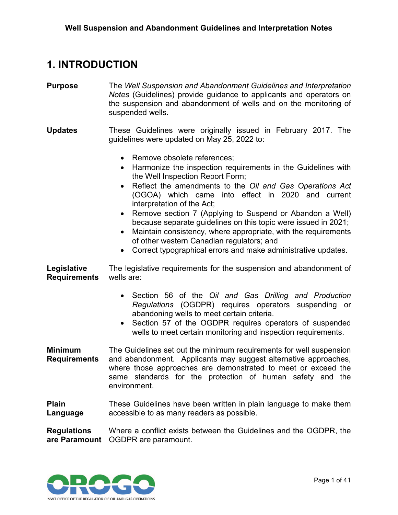### <span id="page-2-0"></span>**1. INTRODUCTION**

- **Purpose** The *Well Suspension and Abandonment Guidelines and Interpretation Notes* (Guidelines) provide guidance to applicants and operators on the suspension and abandonment of wells and on the monitoring of suspended wells.
- **Updates** These Guidelines were originally issued in February 2017. The guidelines were updated on May 25, 2022 to:
	- Remove obsolete references:
	- Harmonize the inspection requirements in the Guidelines with the Well Inspection Report Form;
	- Reflect the amendments to the *Oil and Gas Operations Act* (OGOA) which came into effect in 2020 and current interpretation of the Act;
	- Remove section 7 (Applying to Suspend or Abandon a Well) because separate guidelines on this topic were issued in 2021;
	- Maintain consistency, where appropriate, with the requirements of other western Canadian regulators; and
	- Correct typographical errors and make administrative updates.

**Legislative Requirements** The legislative requirements for the suspension and abandonment of wells are:

- Section 56 of the *Oil and Gas Drilling and Production Regulations* (OGDPR) requires operators suspending or abandoning wells to meet certain criteria.
- Section 57 of the OGDPR requires operators of suspended wells to meet certain monitoring and inspection requirements.
- **Minimum Requirements** The Guidelines set out the minimum requirements for well suspension and abandonment. Applicants may suggest alternative approaches, where those approaches are demonstrated to meet or exceed the same standards for the protection of human safety and the environment.
- **Plain Language** These Guidelines have been written in plain language to make them accessible to as many readers as possible.

**Regulations are Paramount** OGDPR are paramount.Where a conflict exists between the Guidelines and the OGDPR, the

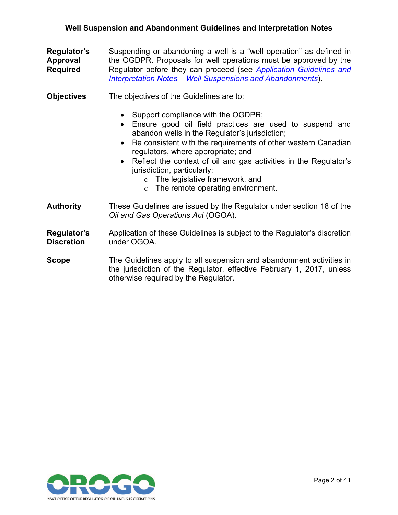- **Regulator's Approval Required** Suspending or abandoning a well is a "well operation" as defined in the OGDPR. Proposals for well operations must be approved by the Regulator before they can proceed (see *[Application Guidelines and](https://www.orogo.gov.nt.ca/sites/orogo/files/resources/2021-02-15_-_application_guidelines_and_interpretation_notes_-_well_suspension_and_abandonment.pdf)  Interpretation Notes – [Well Suspensions and Abandonments](https://www.orogo.gov.nt.ca/sites/orogo/files/resources/2021-02-15_-_application_guidelines_and_interpretation_notes_-_well_suspension_and_abandonment.pdf)*).
- **Objectives** The objectives of the Guidelines are to:
	- Support compliance with the OGDPR;
	- Ensure good oil field practices are used to suspend and abandon wells in the Regulator's jurisdiction;
	- Be consistent with the requirements of other western Canadian regulators, where appropriate; and
	- Reflect the context of oil and gas activities in the Regulator's jurisdiction, particularly:
		- o The legislative framework, and
		- $\circ$  The remote operating environment.
- **Authority** These Guidelines are issued by the Regulator under section 18 of the *Oil and Gas Operations Act* (OGOA).
- **Regulator's Discretion** Application of these Guidelines is subject to the Regulator's discretion under OGOA.
- **Scope** The Guidelines apply to all suspension and abandonment activities in the jurisdiction of the Regulator, effective February 1, 2017, unless otherwise required by the Regulator.

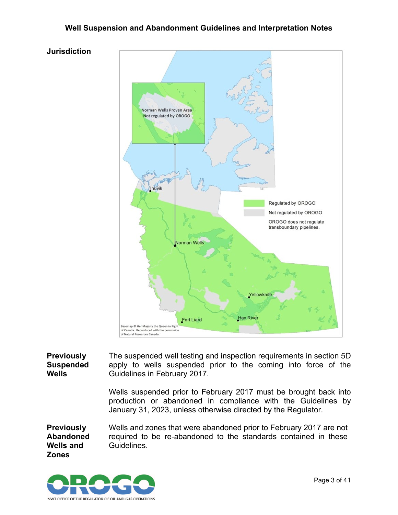**Jurisdiction**



**Previously Suspended Wells** The suspended well testing and inspection requirements in section 5D apply to wells suspended prior to the coming into force of the Guidelines in February 2017.

> Wells suspended prior to February 2017 must be brought back into production or abandoned in compliance with the Guidelines by January 31, 2023, unless otherwise directed by the Regulator.

**Previously Abandoned Wells and Zones** Wells and zones that were abandoned prior to February 2017 are not required to be re-abandoned to the standards contained in these Guidelines.

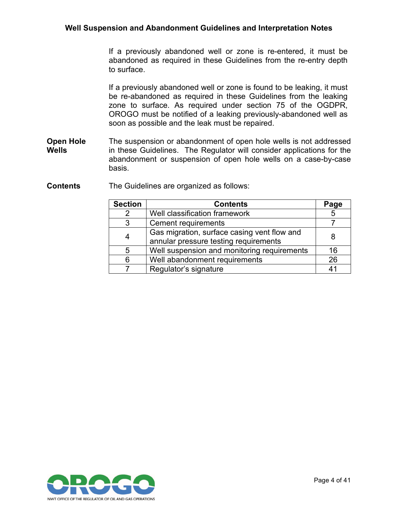If a previously abandoned well or zone is re-entered, it must be abandoned as required in these Guidelines from the re-entry depth to surface.

If a previously abandoned well or zone is found to be leaking, it must be re-abandoned as required in these Guidelines from the leaking zone to surface. As required under section 75 of the OGDPR, OROGO must be notified of a leaking previously-abandoned well as soon as possible and the leak must be repaired.

- **Open Hole Wells** The suspension or abandonment of open hole wells is not addressed in these Guidelines. The Regulator will consider applications for the abandonment or suspension of open hole wells on a case-by-case basis.
- **Contents** The Guidelines are organized as follows:

| <b>Section</b> | <b>Contents</b>                             | Page |
|----------------|---------------------------------------------|------|
| $\mathcal{P}$  | Well classification framework               |      |
| 3              | <b>Cement requirements</b>                  |      |
|                | Gas migration, surface casing vent flow and |      |
|                | annular pressure testing requirements       |      |
| 5              | Well suspension and monitoring requirements | 16   |
| Բ              | Well abandonment requirements               | 26   |
|                | Regulator's signature                       |      |

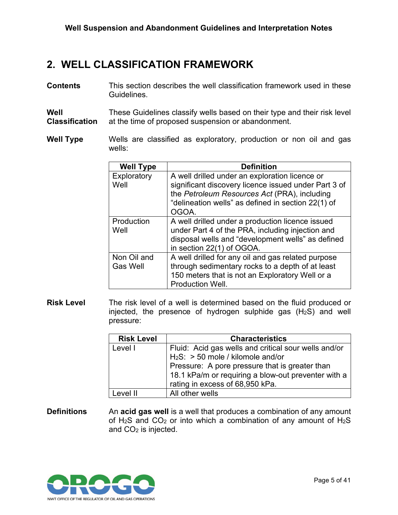### <span id="page-6-0"></span>**2. WELL CLASSIFICATION FRAMEWORK**

**Contents** This section describes the well classification framework used in these **Guidelines** 

**Well Classification** These Guidelines classify wells based on their type and their risk level at the time of proposed suspension or abandonment.

**Well Type** Wells are classified as exploratory, production or non oil and gas wells:

| <b>Well Type</b>               | <b>Definition</b>                                                                                                                                                                                                     |
|--------------------------------|-----------------------------------------------------------------------------------------------------------------------------------------------------------------------------------------------------------------------|
| Exploratory<br>Well            | A well drilled under an exploration licence or<br>significant discovery licence issued under Part 3 of<br>the Petroleum Resources Act (PRA), including<br>"delineation wells" as defined in section 22(1) of<br>OGOA. |
| Production<br>Well             | A well drilled under a production licence issued<br>under Part 4 of the PRA, including injection and<br>disposal wells and "development wells" as defined<br>in section 22(1) of OGOA.                                |
| Non Oil and<br><b>Gas Well</b> | A well drilled for any oil and gas related purpose<br>through sedimentary rocks to a depth of at least<br>150 meters that is not an Exploratory Well or a<br><b>Production Well.</b>                                  |

**Risk Level** The risk level of a well is determined based on the fluid produced or injected, the presence of hydrogen sulphide gas  $(H<sub>2</sub>S)$  and well pressure:

| <b>Risk Level</b> | <b>Characteristics</b>                               |
|-------------------|------------------------------------------------------|
| Level I           | Fluid: Acid gas wells and critical sour wells and/or |
|                   | $H_2S$ : > 50 mole / kilomole and/or                 |
|                   | Pressure: A pore pressure that is greater than       |
|                   | 18.1 kPa/m or requiring a blow-out preventer with a  |
|                   | rating in excess of 68,950 kPa.                      |
| l evel II         | All other wells                                      |

**Definitions** An **acid gas well** is a well that produces a combination of any amount of  $H_2S$  and  $CO_2$  or into which a combination of any amount of  $H_2S$ and  $CO<sub>2</sub>$  is injected.

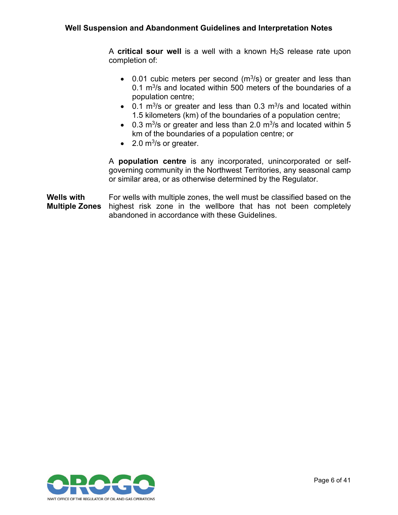A **critical sour well** is a well with a known H2S release rate upon completion of:

- 0.01 cubic meters per second  $(m^3/s)$  or greater and less than 0.1  $\mathrm{m}^3$ /s and located within 500 meters of the boundaries of a population centre;
- 0.1 m<sup>3</sup>/s or greater and less than 0.3 m<sup>3</sup>/s and located within 1.5 kilometers (km) of the boundaries of a population centre;
- 0.3 m<sup>3</sup>/s or greater and less than 2.0 m<sup>3</sup>/s and located within 5 km of the boundaries of a population centre; or
- 2.0  $m^3$ /s or greater.

A **population centre** is any incorporated, unincorporated or selfgoverning community in the Northwest Territories, any seasonal camp or similar area, or as otherwise determined by the Regulator.

**Wells with Multiple Zones** For wells with multiple zones, the well must be classified based on the highest risk zone in the wellbore that has not been completely abandoned in accordance with these Guidelines.

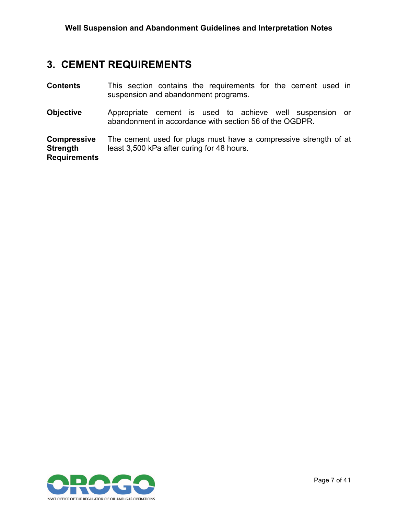## <span id="page-8-0"></span>**3. CEMENT REQUIREMENTS**

| <b>Contents</b>                                              | This section contains the requirements for the cement used in<br>suspension and abandonment programs.               |  |
|--------------------------------------------------------------|---------------------------------------------------------------------------------------------------------------------|--|
| <b>Objective</b>                                             | Appropriate cement is used to achieve well suspension or<br>abandonment in accordance with section 56 of the OGDPR. |  |
| <b>Compressive</b><br><b>Strength</b><br><b>Requirements</b> | The cement used for plugs must have a compressive strength of at<br>least 3,500 kPa after curing for 48 hours.      |  |

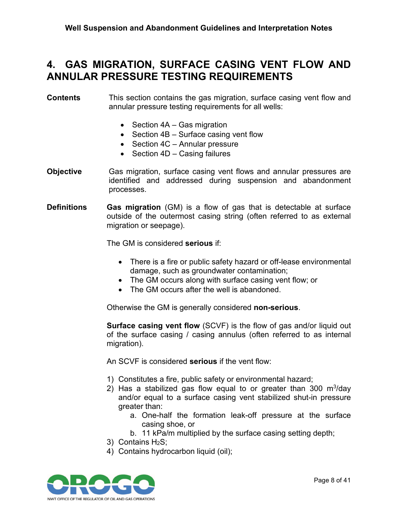### <span id="page-9-0"></span>**4. GAS MIGRATION, SURFACE CASING VENT FLOW AND ANNULAR PRESSURE TESTING REQUIREMENTS**

#### **Contents** This section contains the gas migration, surface casing vent flow and annular pressure testing requirements for all wells:

- Section 4A Gas migration
- Section 4B Surface casing vent flow
- Section 4C Annular pressure
- Section 4D Casing failures
- **Objective** Gas migration, surface casing vent flows and annular pressures are identified and addressed during suspension and abandonment processes.
- **Definitions Gas migration** (GM) is a flow of gas that is detectable at surface outside of the outermost casing string (often referred to as external migration or seepage).

The GM is considered **serious** if:

- There is a fire or public safety hazard or off-lease environmental damage, such as groundwater contamination;
- The GM occurs along with surface casing vent flow; or
- The GM occurs after the well is abandoned.

Otherwise the GM is generally considered **non-serious**.

**Surface casing vent flow** (SCVF) is the flow of gas and/or liquid out of the surface casing / casing annulus (often referred to as internal migration).

An SCVF is considered **serious** if the vent flow:

- 1) Constitutes a fire, public safety or environmental hazard;
- 2) Has a stabilized gas flow equal to or greater than 300  $\mathrm{m}^3/\mathrm{day}$ and/or equal to a surface casing vent stabilized shut-in pressure greater than:
	- a. One-half the formation leak-off pressure at the surface casing shoe, or
	- b. 11 kPa/m multiplied by the surface casing setting depth;
- 3) Contains H2S;
- 4) Contains hydrocarbon liquid (oil);

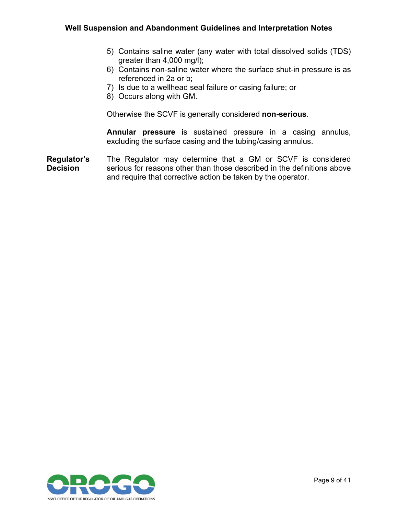- 5) Contains saline water (any water with total dissolved solids (TDS) greater than 4,000 mg/l);
- 6) Contains non-saline water where the surface shut-in pressure is as referenced in 2a or b;
- 7) Is due to a wellhead seal failure or casing failure; or
- 8) Occurs along with GM.

Otherwise the SCVF is generally considered **non-serious**.

**Annular pressure** is sustained pressure in a casing annulus, excluding the surface casing and the tubing/casing annulus.

**Regulator's Decision** The Regulator may determine that a GM or SCVF is considered serious for reasons other than those described in the definitions above and require that corrective action be taken by the operator.

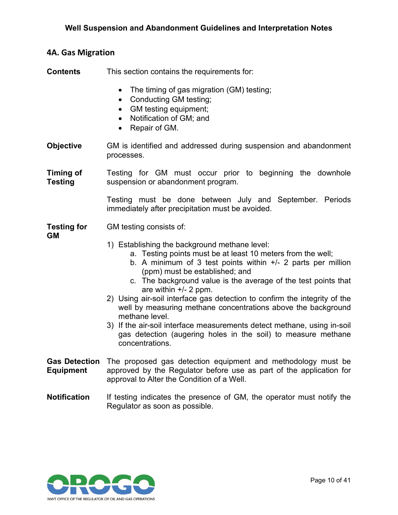#### <span id="page-11-0"></span>**4A. Gas Migration**

**Contents** This section contains the requirements for:

- The timing of gas migration (GM) testing;
- Conducting GM testing;
- GM testing equipment;
- Notification of GM; and
- Repair of GM.
- **Objective** GM is identified and addressed during suspension and abandonment processes.

**Timing of Testing** Testing for GM must occur prior to beginning the downhole suspension or abandonment program.

> Testing must be done between July and September. Periods immediately after precipitation must be avoided.

#### **Testing for**  GM testing consists of:

**GM**

- 1) Establishing the background methane level:
	- a. Testing points must be at least 10 meters from the well;
	- b. A minimum of 3 test points within +/- 2 parts per million (ppm) must be established; and
	- c. The background value is the average of the test points that are within +/- 2 ppm.
- 2) Using air-soil interface gas detection to confirm the integrity of the well by measuring methane concentrations above the background methane level.
- 3) If the air-soil interface measurements detect methane, using in-soil gas detection (augering holes in the soil) to measure methane concentrations.
- **Gas Detection**  The proposed gas detection equipment and methodology must be **Equipment** approved by the Regulator before use as part of the application for approval to Alter the Condition of a Well.
- **Notification** If testing indicates the presence of GM, the operator must notify the Regulator as soon as possible.

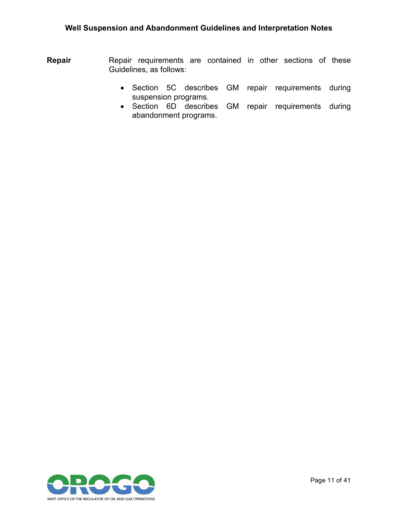- **Repair** Repair requirements are contained in other sections of these Guidelines, as follows:
	- Section 5C describes GM repair requirements during suspension programs.
	- Section 6D describes GM repair requirements during abandonment programs.

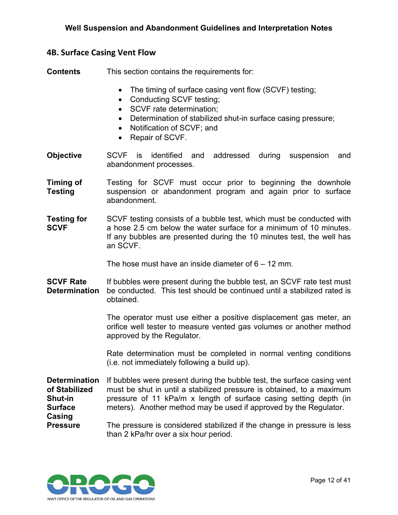#### <span id="page-13-0"></span>**4B. Surface Casing Vent Flow**

**Contents** This section contains the requirements for:

- The timing of surface casing vent flow (SCVF) testing;
- Conducting SCVF testing;
- SCVF rate determination:
- Determination of stabilized shut-in surface casing pressure;
- Notification of SCVF; and
- Repair of SCVF.
- **Objective** SCVF is identified and addressed during suspension and abandonment processes.
- **Timing of Testing** Testing for SCVF must occur prior to beginning the downhole suspension or abandonment program and again prior to surface abandonment.
- **Testing for SCVF** SCVF testing consists of a bubble test, which must be conducted with a hose 2.5 cm below the water surface for a minimum of 10 minutes. If any bubbles are presented during the 10 minutes test, the well has an SCVF.

The hose must have an inside diameter of  $6 - 12$  mm.

**SCVF Rate Determination** If bubbles were present during the bubble test, an SCVF rate test must be conducted. This test should be continued until a stabilized rated is obtained.

> The operator must use either a positive displacement gas meter, an orifice well tester to measure vented gas volumes or another method approved by the Regulator.

> Rate determination must be completed in normal venting conditions (i.e. not immediately following a build up).

**Determination of Stabilized Shut-in Surface Casing**  If bubbles were present during the bubble test, the surface casing vent must be shut in until a stabilized pressure is obtained, to a maximum pressure of 11 kPa/m x length of surface casing setting depth (in meters). Another method may be used if approved by the Regulator.

**Pressure** The pressure is considered stabilized if the change in pressure is less than 2 kPa/hr over a six hour period.

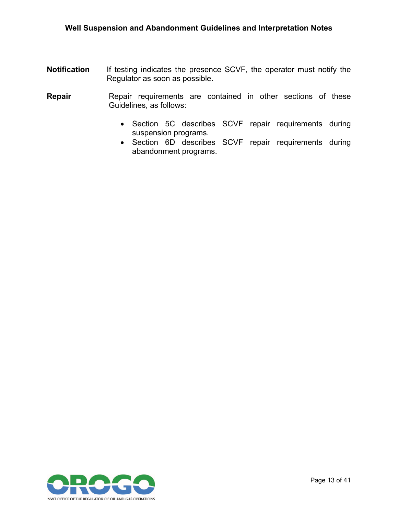- **Notification** If testing indicates the presence SCVF, the operator must notify the Regulator as soon as possible.
- **Repair** Repair requirements are contained in other sections of these Guidelines, as follows:
	- Section 5C describes SCVF repair requirements during suspension programs.
	- Section 6D describes SCVF repair requirements during abandonment programs.

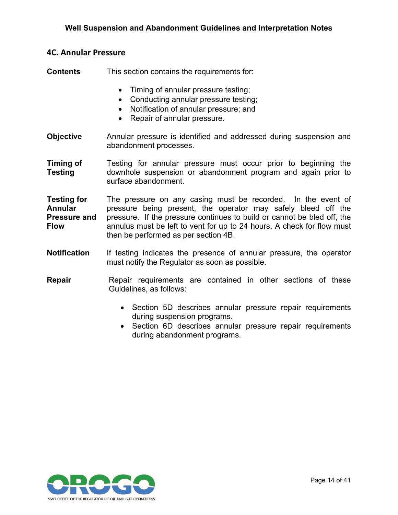#### <span id="page-15-0"></span>**4C. Annular Pressure**

**Contents** This section contains the requirements for:

- Timing of annular pressure testing;
- Conducting annular pressure testing;
- Notification of annular pressure; and
- Repair of annular pressure.
- **Objective** Annular pressure is identified and addressed during suspension and abandonment processes.
- **Timing of Testing** Testing for annular pressure must occur prior to beginning the downhole suspension or abandonment program and again prior to surface abandonment.
- **Testing for Annular Pressure and Flow** The pressure on any casing must be recorded. In the event of pressure being present, the operator may safely bleed off the pressure. If the pressure continues to build or cannot be bled off, the annulus must be left to vent for up to 24 hours. A check for flow must then be performed as per section 4B.
- **Notification** If testing indicates the presence of annular pressure, the operator must notify the Regulator as soon as possible.
- **Repair** Repair requirements are contained in other sections of these Guidelines, as follows:
	- Section 5D describes annular pressure repair requirements during suspension programs.
	- Section 6D describes annular pressure repair requirements during abandonment programs.

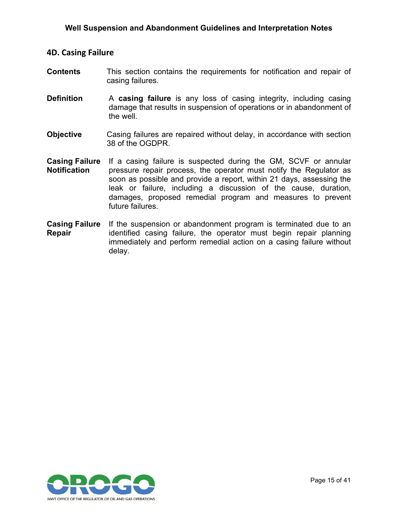#### <span id="page-16-0"></span>**4D. Casing Failure**

- **Contents** This section contains the requirements for notification and repair of casing failures.
- **Definition** A **casing failure** is any loss of casing integrity, including casing damage that results in suspension of operations or in abandonment of the well.
- **Objective** Casing failures are repaired without delay, in accordance with section 38 of the OGDPR.
- **Casing Failure Notification** If a casing failure is suspected during the GM, SCVF or annular pressure repair process, the operator must notify the Regulator as soon as possible and provide a report, within 21 days, assessing the leak or failure, including a discussion of the cause, duration, damages, proposed remedial program and measures to prevent future failures.
- **Casing Failure**  If the suspension or abandonment program is terminated due to an **Repair** identified casing failure, the operator must begin repair planning immediately and perform remedial action on a casing failure without delay.

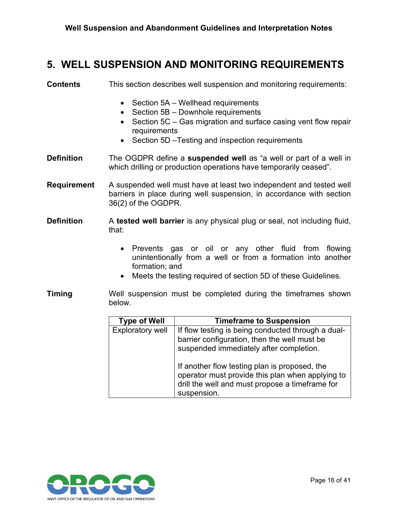### <span id="page-17-0"></span>**5. WELL SUSPENSION AND MONITORING REQUIREMENTS**

| <b>Contents</b>    | This section describes well suspension and monitoring requirements:                                                                                                                                                                                     |
|--------------------|---------------------------------------------------------------------------------------------------------------------------------------------------------------------------------------------------------------------------------------------------------|
|                    | Section 5A – Wellhead requirements<br>$\bullet$<br>Section 5B - Downhole requirements<br>$\bullet$<br>Section 5C – Gas migration and surface casing vent flow repair<br>$\bullet$<br>requirements<br>• Section 5D – Testing and inspection requirements |
| <b>Definition</b>  | The OGDPR define a suspended well as "a well or part of a well in<br>which drilling or production operations have temporarily ceased".                                                                                                                  |
| <b>Requirement</b> | A suspended well must have at least two independent and tested well<br>barriers in place during well suspension, in accordance with section<br>36(2) of the OGDPR.                                                                                      |

**Definition** A **tested well barrier** is any physical plug or seal, not including fluid, that:

- Prevents gas or oil or any other fluid from flowing unintentionally from a well or from a formation into another formation; and
- Meets the testing required of section 5D of these Guidelines.
- **Timing** Well suspension must be completed during the timeframes shown below.

| <b>Type of Well</b>     | <b>Timeframe to Suspension</b>                                                                                                                                      |
|-------------------------|---------------------------------------------------------------------------------------------------------------------------------------------------------------------|
| <b>Exploratory well</b> | If flow testing is being conducted through a dual-<br>barrier configuration, then the well must be<br>suspended immediately after completion.                       |
|                         | If another flow testing plan is proposed, the<br>operator must provide this plan when applying to<br>drill the well and must propose a timeframe for<br>suspension. |

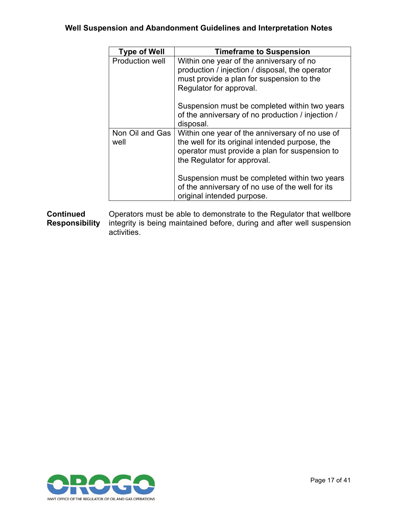| <b>Type of Well</b>     | <b>Timeframe to Suspension</b>                                                                                                                                                      |
|-------------------------|-------------------------------------------------------------------------------------------------------------------------------------------------------------------------------------|
| Production well         | Within one year of the anniversary of no<br>production / injection / disposal, the operator<br>must provide a plan for suspension to the<br>Regulator for approval.                 |
|                         | Suspension must be completed within two years<br>of the anniversary of no production / injection /<br>disposal.                                                                     |
| Non Oil and Gas<br>well | Within one year of the anniversary of no use of<br>the well for its original intended purpose, the<br>operator must provide a plan for suspension to<br>the Regulator for approval. |
|                         | Suspension must be completed within two years<br>of the anniversary of no use of the well for its<br>original intended purpose.                                                     |

**Continued Responsibility** Operators must be able to demonstrate to the Regulator that wellbore integrity is being maintained before, during and after well suspension activities.

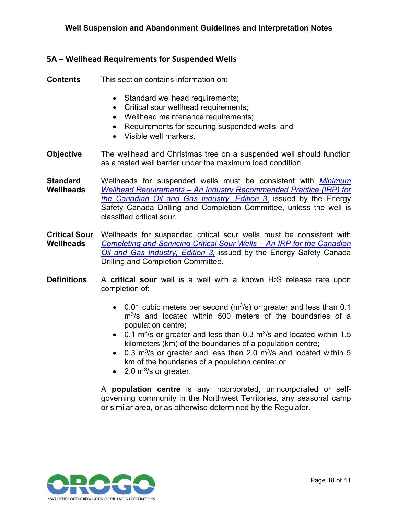#### <span id="page-19-0"></span>**5A – Wellhead Requirements for Suspended Wells**

**Contents** This section contains information on:

- Standard wellhead requirements;
- Critical sour wellhead requirements;
- Wellhead maintenance requirements;
- Requirements for securing suspended wells; and
- Visible well markers.
- **Objective** The wellhead and Christmas tree on a suspended well should function as a tested well barrier under the maximum load condition.
- **Standard Wellheads** Wellheads for suspended wells must be consistent with *[Minimum](https://www.energysafetycanada.com/Attachments/DownloadResource?attachmentGuid=6f1eeb1c-f35b-48a7-8534-64a563c94b3b)  Wellhead Requirements – [An Industry Recommended Practice \(IRP\) for](https://www.energysafetycanada.com/Attachments/DownloadResource?attachmentGuid=6f1eeb1c-f35b-48a7-8534-64a563c94b3b)  [the Canadian Oil and Gas Industry, Edition 3](https://www.energysafetycanada.com/Attachments/DownloadResource?attachmentGuid=6f1eeb1c-f35b-48a7-8534-64a563c94b3b)*, issued by the Energy Safety Canada Drilling and Completion Committee, unless the well is classified critical sour.
- **Critical Sour Wellheads** Wellheads for suspended critical sour wells must be consistent with *[Completing and Servicing Critical Sour Wells –](https://www.energysafetycanada.com/Attachments/DownloadResource?attachmentGuid=0cce8707-02af-4306-a979-225e3d4897e3&open=True) An IRP for the Canadian [Oil and Gas Industry, Edition 3,](https://www.energysafetycanada.com/Attachments/DownloadResource?attachmentGuid=0cce8707-02af-4306-a979-225e3d4897e3&open=True)* issued by the Energy Safety Canada Drilling and Completion Committee.
- **Definitions** A **critical sour** well is a well with a known H<sub>2</sub>S release rate upon completion of:
	- 0.01 cubic meters per second  $(m<sup>3</sup>/s)$  or greater and less than 0.1 m<sup>3</sup>/s and located within 500 meters of the boundaries of a population centre;
	- 0.1 m<sup>3</sup>/s or greater and less than 0.3 m<sup>3</sup>/s and located within 1.5 kilometers (km) of the boundaries of a population centre;
	- 0.3 m<sup>3</sup>/s or greater and less than 2.0 m<sup>3</sup>/s and located within 5 km of the boundaries of a population centre; or
	- 2.0  $m^3$ /s or greater.

A **population centre** is any incorporated, unincorporated or selfgoverning community in the Northwest Territories, any seasonal camp or similar area, or as otherwise determined by the Regulator.

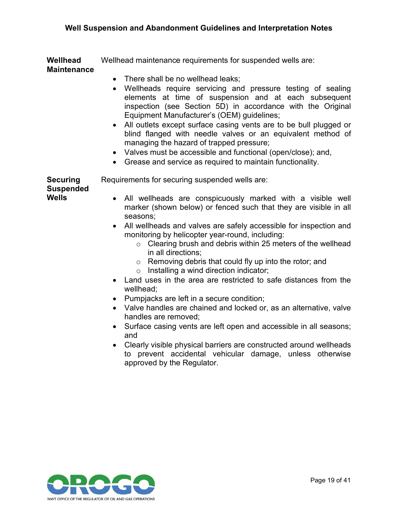**Wellhead Maintenance** Wellhead maintenance requirements for suspended wells are:

- There shall be no wellhead leaks;
- Wellheads require servicing and pressure testing of sealing elements at time of suspension and at each subsequent inspection (see Section 5D) in accordance with the Original Equipment Manufacturer's (OEM) guidelines;
- All outlets except surface casing vents are to be bull plugged or blind flanged with needle valves or an equivalent method of managing the hazard of trapped pressure;
- Valves must be accessible and functional (open/close); and,
- Grease and service as required to maintain functionality.

**Securing**  Requirements for securing suspended wells are:

**Suspended Wells**

- All wellheads are conspicuously marked with a visible well marker (shown below) or fenced such that they are visible in all seasons;
- All wellheads and valves are safely accessible for inspection and monitoring by helicopter year-round, including:
	- o Clearing brush and debris within 25 meters of the wellhead in all directions;
	- o Removing debris that could fly up into the rotor; and
	- o Installing a wind direction indicator;
- Land uses in the area are restricted to safe distances from the wellhead;
- Pumpjacks are left in a secure condition;
- Valve handles are chained and locked or, as an alternative, valve handles are removed;
- Surface casing vents are left open and accessible in all seasons; and
- Clearly visible physical barriers are constructed around wellheads to prevent accidental vehicular damage, unless otherwise approved by the Regulator.

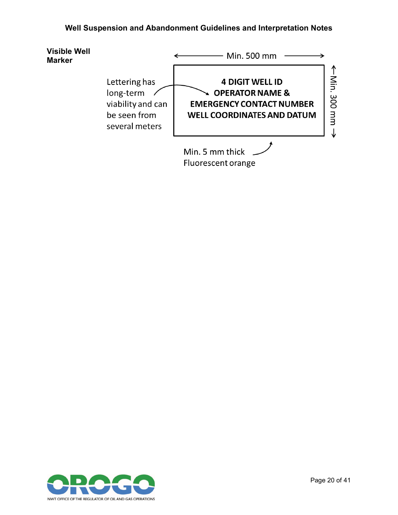

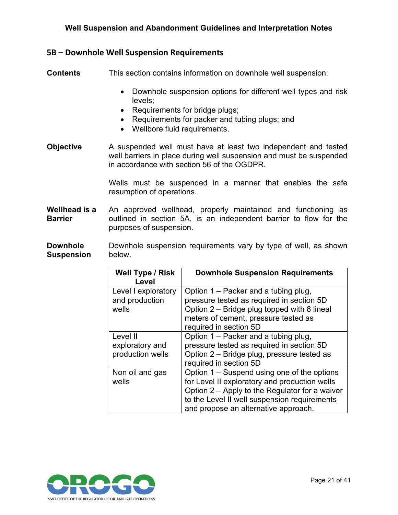#### <span id="page-22-0"></span>**5B – Downhole Well Suspension Requirements**

**Contents** This section contains information on downhole well suspension:

- Downhole suspension options for different well types and risk levels;
- Requirements for bridge plugs;
- Requirements for packer and tubing plugs; and
- Wellbore fluid requirements.
- **Objective** A suspended well must have at least two independent and tested well barriers in place during well suspension and must be suspended in accordance with section 56 of the OGDPR*.*

Wells must be suspended in a manner that enables the safe resumption of operations.

**Wellhead is a Barrier** An approved wellhead, properly maintained and functioning as outlined in section 5A, is an independent barrier to flow for the purposes of suspension.

**Downhole Suspension**  Downhole suspension requirements vary by type of well, as shown below.

| <b>Well Type / Risk</b><br>Level                | <b>Downhole Suspension Requirements</b>                                                                                                                                                                                                |
|-------------------------------------------------|----------------------------------------------------------------------------------------------------------------------------------------------------------------------------------------------------------------------------------------|
| Level I exploratory<br>and production<br>wells  | Option 1 – Packer and a tubing plug,<br>pressure tested as required in section 5D<br>Option 2 – Bridge plug topped with 8 lineal<br>meters of cement, pressure tested as<br>required in section 5D                                     |
| Level II<br>exploratory and<br>production wells | Option 1 – Packer and a tubing plug,<br>pressure tested as required in section 5D<br>Option 2 – Bridge plug, pressure tested as<br>required in section 5D                                                                              |
| Non oil and gas<br>wells                        | Option 1 – Suspend using one of the options<br>for Level II exploratory and production wells<br>Option 2 – Apply to the Regulator for a waiver<br>to the Level II well suspension requirements<br>and propose an alternative approach. |

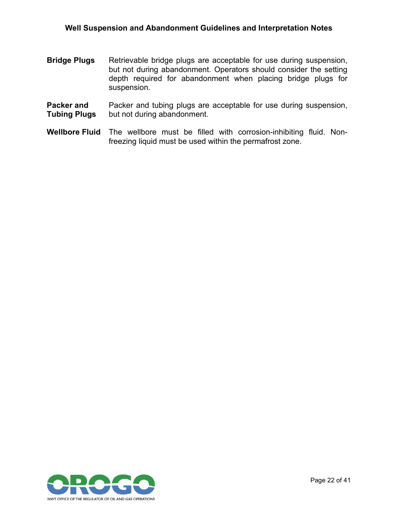- **Bridge Plugs** Retrievable bridge plugs are acceptable for use during suspension, but not during abandonment. Operators should consider the setting depth required for abandonment when placing bridge plugs for suspension.
- **Packer and Tubing Plugs** Packer and tubing plugs are acceptable for use during suspension, but not during abandonment.
- **Wellbore Fluid** The wellbore must be filled with corrosion-inhibiting fluid. Nonfreezing liquid must be used within the permafrost zone.

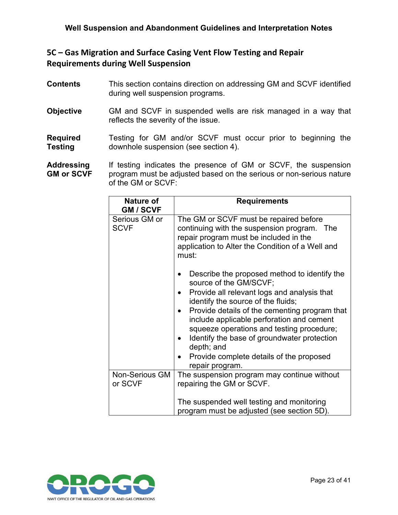### <span id="page-24-0"></span>**5C – Gas Migration and Surface Casing Vent Flow Testing and Repair Requirements during Well Suspension**

| <b>Contents</b>   | This section contains direction on addressing GM and SCVF identified<br>during well suspension programs. |
|-------------------|----------------------------------------------------------------------------------------------------------|
| <b>Objective</b>  | GM and SCVF in suspended wells are risk managed in a way that<br>reflects the severity of the issue.     |
| <b>Required</b>   | Testing for GM and/or SCVF must occur prior to beginning the                                             |
| <b>Testing</b>    | downhole suspension (see section 4).                                                                     |
| <b>Addressing</b> | If testing indicates the presence of GM or SCVF, the suspension                                          |
| $OM \sim CONE$    | program must be adjusted becad on the cerious or non-cerious peture                                      |

**GM or SCVF** program must be adjusted based on the serious or non-serious nature of the GM or SCVF:

| <b>Nature of</b><br><b>GM / SCVF</b> | <b>Requirements</b>                                                                                                                                                                                                                                                                                                                                                                                                                |  |
|--------------------------------------|------------------------------------------------------------------------------------------------------------------------------------------------------------------------------------------------------------------------------------------------------------------------------------------------------------------------------------------------------------------------------------------------------------------------------------|--|
| Serious GM or<br><b>SCVF</b>         | The GM or SCVF must be repaired before<br>continuing with the suspension program. The<br>repair program must be included in the<br>application to Alter the Condition of a Well and<br>must:                                                                                                                                                                                                                                       |  |
|                                      | Describe the proposed method to identify the<br>source of the GM/SCVF;<br>Provide all relevant logs and analysis that<br>identify the source of the fluids;<br>Provide details of the cementing program that<br>include applicable perforation and cement<br>squeeze operations and testing procedure;<br>Identify the base of groundwater protection<br>depth; and<br>Provide complete details of the proposed<br>repair program. |  |
| <b>Non-Serious GM</b><br>or SCVF     | The suspension program may continue without<br>repairing the GM or SCVF.<br>The suspended well testing and monitoring<br>program must be adjusted (see section 5D).                                                                                                                                                                                                                                                                |  |

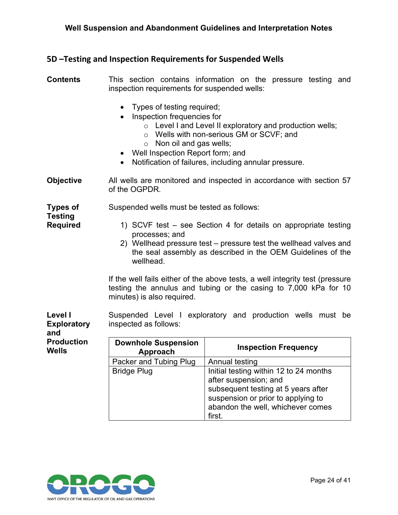#### <span id="page-25-0"></span>**5D –Testing and Inspection Requirements for Suspended Wells**

#### **Contents** This section contains information on the pressure testing and inspection requirements for suspended wells:

- Types of testing required;
- Inspection frequencies for
	- o Level I and Level II exploratory and production wells;
	- o Wells with non-serious GM or SCVF; and
	- o Non oil and gas wells;
- Well Inspection Report form; and
- Notification of failures, including annular pressure.

**Objective** All wells are monitored and inspected in accordance with section 57 of the OGPDR*.*

#### **Types of**  Suspended wells must be tested as follows:

- 1) SCVF test see Section 4 for details on appropriate testing processes; and
- 2) Wellhead pressure test pressure test the wellhead valves and the seal assembly as described in the OEM Guidelines of the wellhead.

If the well fails either of the above tests, a well integrity test (pressure testing the annulus and tubing or the casing to 7,000 kPa for 10 minutes) is also required.

**Level I Exploratory**  Suspended Level I exploratory and production wells must be inspected as follows:

| <b>Production</b><br><b>Wells</b> | <b>Downhole Suspension</b><br>Approach | <b>Inspection Frequency</b>                                                                                                                                                                 |
|-----------------------------------|----------------------------------------|---------------------------------------------------------------------------------------------------------------------------------------------------------------------------------------------|
|                                   | Packer and Tubing Plug                 | Annual testing                                                                                                                                                                              |
|                                   | <b>Bridge Plug</b>                     | Initial testing within 12 to 24 months<br>after suspension; and<br>subsequent testing at 5 years after<br>suspension or prior to applying to<br>abandon the well, whichever comes<br>first. |



**Testing Required**

**and**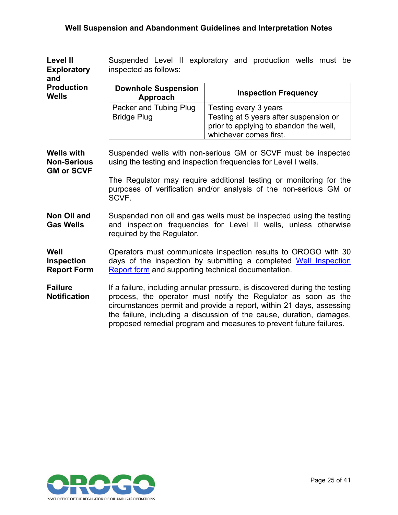| <b>Level II</b><br><b>Exploratory</b><br>and                 | Suspended Level II exploratory and production wells must be<br>inspected as follows:                                             |                                                                                                                                                                                                                                                                                                                                                                    |
|--------------------------------------------------------------|----------------------------------------------------------------------------------------------------------------------------------|--------------------------------------------------------------------------------------------------------------------------------------------------------------------------------------------------------------------------------------------------------------------------------------------------------------------------------------------------------------------|
| <b>Production</b><br><b>Wells</b>                            | <b>Downhole Suspension</b><br>Approach                                                                                           | <b>Inspection Frequency</b>                                                                                                                                                                                                                                                                                                                                        |
|                                                              | Packer and Tubing Plug                                                                                                           | Testing every 3 years                                                                                                                                                                                                                                                                                                                                              |
|                                                              | <b>Bridge Plug</b>                                                                                                               | Testing at 5 years after suspension or                                                                                                                                                                                                                                                                                                                             |
|                                                              |                                                                                                                                  | prior to applying to abandon the well,<br>whichever comes first.                                                                                                                                                                                                                                                                                                   |
| <b>Wells with</b><br><b>Non-Serious</b><br><b>GM or SCVF</b> | Suspended wells with non-serious GM or SCVF must be inspected<br>using the testing and inspection frequencies for Level I wells. |                                                                                                                                                                                                                                                                                                                                                                    |
|                                                              | SCVF.                                                                                                                            | The Regulator may require additional testing or monitoring for the<br>purposes of verification and/or analysis of the non-serious GM or                                                                                                                                                                                                                            |
| Non Oil and<br><b>Gas Wells</b>                              | required by the Regulator.                                                                                                       | Suspended non oil and gas wells must be inspected using the testing<br>and inspection frequencies for Level II wells, unless otherwise                                                                                                                                                                                                                             |
| Well<br><b>Inspection</b><br><b>Report Form</b>              | Report form and supporting technical documentation.                                                                              | Operators must communicate inspection results to OROGO with 30<br>days of the inspection by submitting a completed Well Inspection                                                                                                                                                                                                                                 |
| <b>Failure</b><br><b>Notification</b>                        |                                                                                                                                  | If a failure, including annular pressure, is discovered during the testing<br>process, the operator must notify the Regulator as soon as the<br>circumstances permit and provide a report, within 21 days, assessing<br>the failure, including a discussion of the cause, duration, damages,<br>proposed remedial program and measures to prevent future failures. |

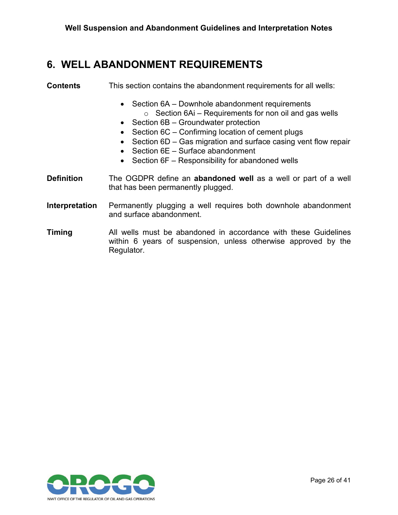### <span id="page-27-0"></span>**6. WELL ABANDONMENT REQUIREMENTS**

### **Contents** This section contains the abandonment requirements for all wells:

- Section 6A Downhole abandonment requirements  $\circ$  Section 6Ai – Requirements for non oil and gas wells
- Section 6B Groundwater protection
- Section 6C Confirming location of cement plugs
- Section 6D Gas migration and surface casing vent flow repair
- Section 6E Surface abandonment
- Section 6F Responsibility for abandoned wells
- **Definition** The OGDPR define an **abandoned well** as a well or part of a well that has been permanently plugged.
- **Interpretation** Permanently plugging a well requires both downhole abandonment and surface abandonment.
- **Timing** All wells must be abandoned in accordance with these Guidelines within 6 years of suspension, unless otherwise approved by the Regulator.

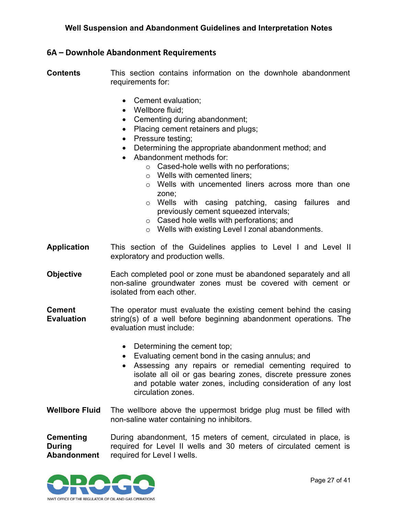#### <span id="page-28-0"></span>**6A – Downhole Abandonment Requirements**

**Contents** This section contains information on the downhole abandonment requirements for:

- Cement evaluation;
- Wellbore fluid;
- Cementing during abandonment;
- Placing cement retainers and plugs:
- Pressure testing;
- Determining the appropriate abandonment method; and
- Abandonment methods for:
	- o Cased-hole wells with no perforations;
	- o Wells with cemented liners;
	- o Wells with uncemented liners across more than one zone;
	- o Wells with casing patching, casing failures and previously cement squeezed intervals;
	- o Cased hole wells with perforations; and
	- o Wells with existing Level I zonal abandonments.
- **Application** This section of the Guidelines applies to Level I and Level II exploratory and production wells.
- **Objective** Each completed pool or zone must be abandoned separately and all non-saline groundwater zones must be covered with cement or isolated from each other.
- **Cement Evaluation** The operator must evaluate the existing cement behind the casing string(s) of a well before beginning abandonment operations. The evaluation must include:
	- Determining the cement top;
	- Evaluating cement bond in the casing annulus; and
	- Assessing any repairs or remedial cementing required to isolate all oil or gas bearing zones, discrete pressure zones and potable water zones, including consideration of any lost circulation zones.
- **Wellbore Fluid** The wellbore above the uppermost bridge plug must be filled with non-saline water containing no inhibitors.

**Cementing During Abandonment** During abandonment, 15 meters of cement, circulated in place, is required for Level II wells and 30 meters of circulated cement is required for Level I wells.

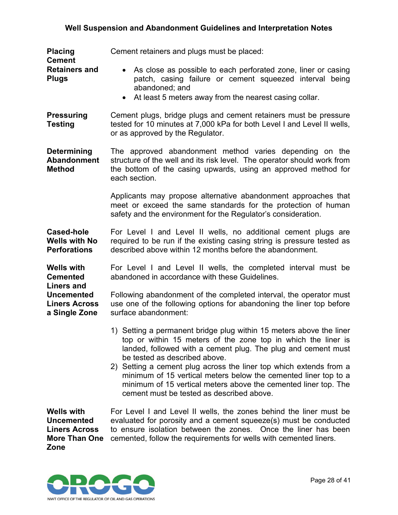| <b>Placing</b><br><b>Cement</b><br><b>Retainers and</b><br><b>Plugs</b>                                                 | Cement retainers and plugs must be placed:                                                                                                                                                                                                                                                                                                                                                                                                                                                      |  |
|-------------------------------------------------------------------------------------------------------------------------|-------------------------------------------------------------------------------------------------------------------------------------------------------------------------------------------------------------------------------------------------------------------------------------------------------------------------------------------------------------------------------------------------------------------------------------------------------------------------------------------------|--|
|                                                                                                                         | • As close as possible to each perforated zone, liner or casing<br>patch, casing failure or cement squeezed interval being<br>abandoned; and<br>At least 5 meters away from the nearest casing collar.                                                                                                                                                                                                                                                                                          |  |
| <b>Pressuring</b><br><b>Testing</b>                                                                                     | Cement plugs, bridge plugs and cement retainers must be pressure<br>tested for 10 minutes at 7,000 kPa for both Level I and Level II wells,<br>or as approved by the Regulator.                                                                                                                                                                                                                                                                                                                 |  |
| <b>Determining</b><br><b>Abandonment</b><br><b>Method</b>                                                               | The approved abandonment method varies depending on the<br>structure of the well and its risk level. The operator should work from<br>the bottom of the casing upwards, using an approved method for<br>each section.                                                                                                                                                                                                                                                                           |  |
|                                                                                                                         | Applicants may propose alternative abandonment approaches that<br>meet or exceed the same standards for the protection of human<br>safety and the environment for the Regulator's consideration.                                                                                                                                                                                                                                                                                                |  |
| <b>Cased-hole</b><br><b>Wells with No</b><br><b>Perforations</b>                                                        | For Level I and Level II wells, no additional cement plugs are<br>required to be run if the existing casing string is pressure tested as<br>described above within 12 months before the abandonment.                                                                                                                                                                                                                                                                                            |  |
| <b>Wells with</b><br><b>Cemented</b><br><b>Liners and</b><br><b>Uncemented</b><br><b>Liners Across</b><br>a Single Zone | For Level I and Level II wells, the completed interval must be<br>abandoned in accordance with these Guidelines.                                                                                                                                                                                                                                                                                                                                                                                |  |
|                                                                                                                         | Following abandonment of the completed interval, the operator must<br>use one of the following options for abandoning the liner top before<br>surface abandonment:                                                                                                                                                                                                                                                                                                                              |  |
|                                                                                                                         | 1) Setting a permanent bridge plug within 15 meters above the liner<br>top or within 15 meters of the zone top in which the liner is<br>landed, followed with a cement plug. The plug and cement must<br>be tested as described above.<br>2) Setting a cement plug across the liner top which extends from a<br>minimum of 15 vertical meters below the cemented liner top to a<br>minimum of 15 vertical meters above the cemented liner top. The<br>cement must be tested as described above. |  |
| <b>Wells with</b><br><b>Uncemented</b><br><b>Liners Across</b><br><b>More Than One</b><br>Zone                          | For Level I and Level II wells, the zones behind the liner must be<br>evaluated for porosity and a cement squeeze(s) must be conducted<br>to ensure isolation between the zones. Once the liner has been<br>cemented, follow the requirements for wells with cemented liners.                                                                                                                                                                                                                   |  |

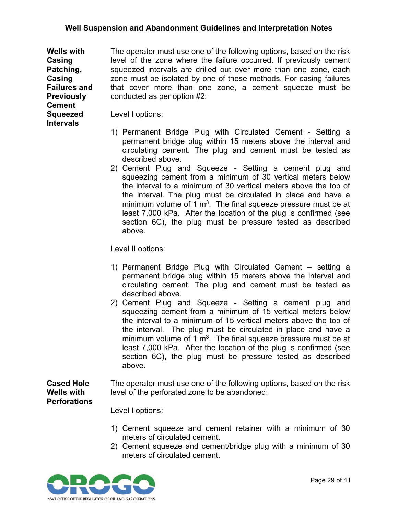**Wells with Casing Patching, Casing Failures and Previously Cement**  The operator must use one of the following options, based on the risk level of the zone where the failure occurred. If previously cement squeezed intervals are drilled out over more than one zone, each zone must be isolated by one of these methods. For casing failures that cover more than one zone, a cement squeeze must be conducted as per option #2:

Level I options:

**Squeezed Intervals**

- 1) Permanent Bridge Plug with Circulated Cement Setting a permanent bridge plug within 15 meters above the interval and circulating cement. The plug and cement must be tested as described above.
- 2) Cement Plug and Squeeze Setting a cement plug and squeezing cement from a minimum of 30 vertical meters below the interval to a minimum of 30 vertical meters above the top of the interval. The plug must be circulated in place and have a minimum volume of 1  $m<sup>3</sup>$ . The final squeeze pressure must be at least 7,000 kPa. After the location of the plug is confirmed (see section 6C), the plug must be pressure tested as described above.

Level II options:

- 1) Permanent Bridge Plug with Circulated Cement setting a permanent bridge plug within 15 meters above the interval and circulating cement. The plug and cement must be tested as described above.
- 2) Cement Plug and Squeeze Setting a cement plug and squeezing cement from a minimum of 15 vertical meters below the interval to a minimum of 15 vertical meters above the top of the interval. The plug must be circulated in place and have a minimum volume of 1  $m<sup>3</sup>$ . The final squeeze pressure must be at least 7,000 kPa. After the location of the plug is confirmed (see section 6C), the plug must be pressure tested as described above.

**Cased Hole Wells with Perforations** The operator must use one of the following options, based on the risk level of the perforated zone to be abandoned:

Level I options:

- 1) Cement squeeze and cement retainer with a minimum of 30 meters of circulated cement.
- 2) Cement squeeze and cement/bridge plug with a minimum of 30 meters of circulated cement.

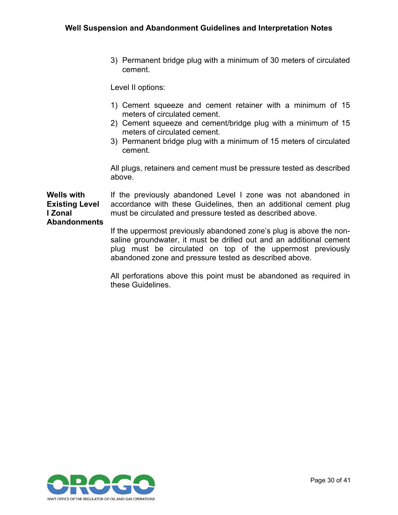3) Permanent bridge plug with a minimum of 30 meters of circulated cement.

Level II options:

- 1) Cement squeeze and cement retainer with a minimum of 15 meters of circulated cement.
- 2) Cement squeeze and cement/bridge plug with a minimum of 15 meters of circulated cement.
- 3) Permanent bridge plug with a minimum of 15 meters of circulated cement.

All plugs, retainers and cement must be pressure tested as described above.

**Wells with Existing Level I Zonal**  If the previously abandoned Level I zone was not abandoned in accordance with these Guidelines, then an additional cement plug must be circulated and pressure tested as described above.

### **Abandonments**

If the uppermost previously abandoned zone's plug is above the nonsaline groundwater, it must be drilled out and an additional cement plug must be circulated on top of the uppermost previously abandoned zone and pressure tested as described above.

All perforations above this point must be abandoned as required in these Guidelines.

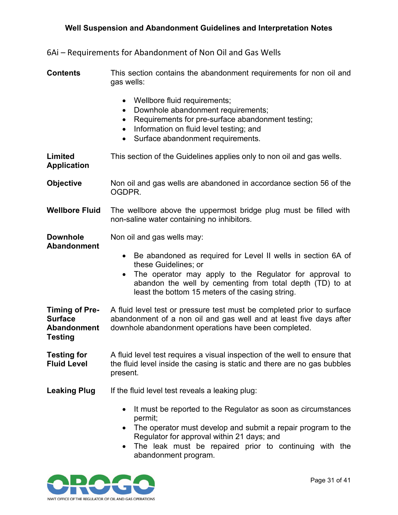<span id="page-32-0"></span>6Ai – Requirements for Abandonment of Non Oil and Gas Wells

**Contents** This section contains the abandonment requirements for non oil and gas wells:

- Wellbore fluid requirements;
- Downhole abandonment requirements;
- Requirements for pre-surface abandonment testing;
- Information on fluid level testing; and
- Surface abandonment requirements.

**Limited Application** This section of the Guidelines applies only to non oil and gas wells.

**Objective** Non oil and gas wells are abandoned in accordance section 56 of the OGDPR.

**Wellbore Fluid** The wellbore above the uppermost bridge plug must be filled with non-saline water containing no inhibitors.

**Downhole**  Non oil and gas wells may:

**Abandonment**

- Be abandoned as required for Level II wells in section 6A of these Guidelines; or
- The operator may apply to the Regulator for approval to abandon the well by cementing from total depth (TD) to at least the bottom 15 meters of the casing string.
- **Timing of Pre-Surface Abandonment Testing** A fluid level test or pressure test must be completed prior to surface abandonment of a non oil and gas well and at least five days after downhole abandonment operations have been completed.
- **Testing for Fluid Level** A fluid level test requires a visual inspection of the well to ensure that the fluid level inside the casing is static and there are no gas bubbles present.
- **Leaking Plug** If the fluid level test reveals a leaking plug:
	- It must be reported to the Regulator as soon as circumstances permit;
	- The operator must develop and submit a repair program to the Regulator for approval within 21 days; and
	- The leak must be repaired prior to continuing with the abandonment program.

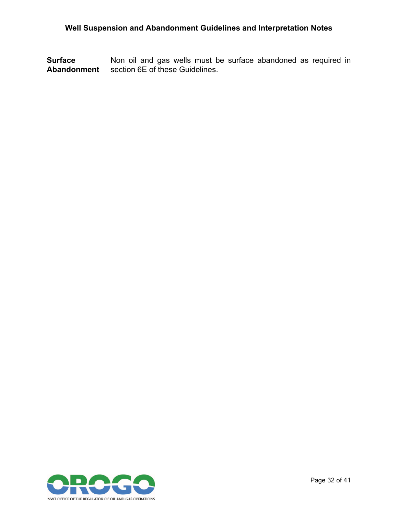**Surface Abandonment** Non oil and gas wells must be surface abandoned as required in section 6E of these Guidelines.

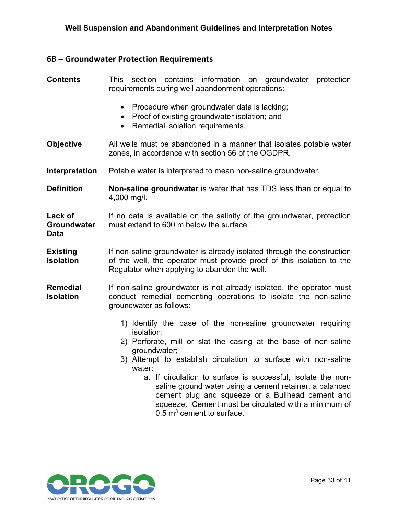### <span id="page-34-0"></span>**6B – Groundwater Protection Requirements**

| <b>Contents</b>                              | This section contains information on groundwater protection<br>requirements during well abandonment operations:                                                                                                                                                                                                                                                                                                                                                                  |
|----------------------------------------------|----------------------------------------------------------------------------------------------------------------------------------------------------------------------------------------------------------------------------------------------------------------------------------------------------------------------------------------------------------------------------------------------------------------------------------------------------------------------------------|
|                                              | • Procedure when groundwater data is lacking;<br>Proof of existing groundwater isolation; and<br>Remedial isolation requirements.                                                                                                                                                                                                                                                                                                                                                |
| <b>Objective</b>                             | All wells must be abandoned in a manner that isolates potable water<br>zones, in accordance with section 56 of the OGDPR.                                                                                                                                                                                                                                                                                                                                                        |
| Interpretation                               | Potable water is interpreted to mean non-saline groundwater.                                                                                                                                                                                                                                                                                                                                                                                                                     |
| <b>Definition</b>                            | Non-saline groundwater is water that has TDS less than or equal to<br>4,000 mg/l.                                                                                                                                                                                                                                                                                                                                                                                                |
| Lack of<br><b>Groundwater</b><br><b>Data</b> | If no data is available on the salinity of the groundwater, protection<br>must extend to 600 m below the surface.                                                                                                                                                                                                                                                                                                                                                                |
| <b>Existing</b><br><b>Isolation</b>          | If non-saline groundwater is already isolated through the construction<br>of the well, the operator must provide proof of this isolation to the<br>Regulator when applying to abandon the well.                                                                                                                                                                                                                                                                                  |
| <b>Remedial</b><br><b>Isolation</b>          | If non-saline groundwater is not already isolated, the operator must<br>conduct remedial cementing operations to isolate the non-saline<br>groundwater as follows:                                                                                                                                                                                                                                                                                                               |
|                                              | 1) Identify the base of the non-saline groundwater requiring<br>isolation;<br>2) Perforate, mill or slat the casing at the base of non-saline<br>groundwater;<br>3) Attempt to establish circulation to surface with non-saline<br>water:<br>a. If circulation to surface is successful, isolate the non-<br>saline ground water using a cement retainer, a balanced<br>cement plug and squeeze or a Bullhead cement and<br>squeeze. Cement must be circulated with a minimum of |

 $0.5$  m $^3$  cement to surface.

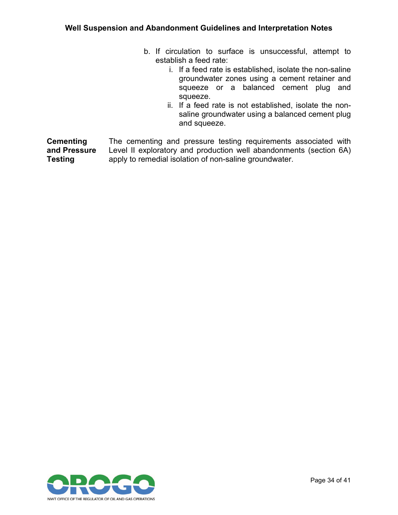- b. If circulation to surface is unsuccessful, attempt to establish a feed rate:
	- i. If a feed rate is established, isolate the non-saline groundwater zones using a cement retainer and squeeze or a balanced cement plug and squeeze.
	- ii. If a feed rate is not established, isolate the nonsaline groundwater using a balanced cement plug and squeeze.

**Cementing and Pressure Testing** The cementing and pressure testing requirements associated with Level II exploratory and production well abandonments (section 6A) apply to remedial isolation of non-saline groundwater.

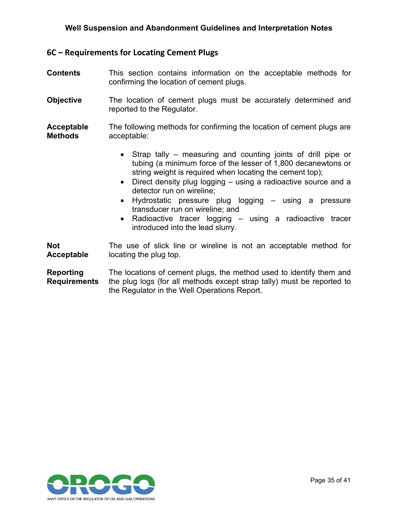#### <span id="page-36-0"></span>**6C – Requirements for Locating Cement Plugs**

- **Contents** This section contains information on the acceptable methods for confirming the location of cement plugs.
- **Objective** The location of cement plugs must be accurately determined and reported to the Regulator.
- **Acceptable Methods** The following methods for confirming the location of cement plugs are acceptable:
	- Strap tally measuring and counting joints of drill pipe or tubing (a minimum force of the lesser of 1,800 decanewtons or string weight is required when locating the cement top);
	- Direct density plug logging using a radioactive source and a detector run on wireline;
	- Hydrostatic pressure plug logging using a pressure transducer run on wireline; and
	- Radioactive tracer logging using a radioactive tracer introduced into the lead slurry.

**Not Acceptable** The use of slick line or wireline is not an acceptable method for locating the plug top.

**Reporting Requirements** The locations of cement plugs, the method used to identify them and the plug logs (for all methods except strap tally) must be reported to the Regulator in the Well Operations Report.

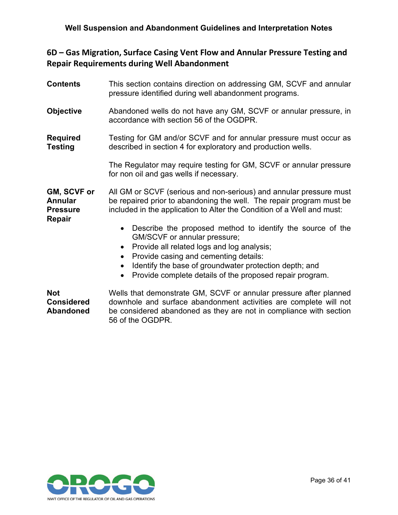### <span id="page-37-0"></span>**6D – Gas Migration, Surface Casing Vent Flow and Annular Pressure Testing and Repair Requirements during Well Abandonment**

| <b>Contents</b>                                                   | This section contains direction on addressing GM, SCVF and annular<br>pressure identified during well abandonment programs.                                                                                                                                                                                                                                              |  |
|-------------------------------------------------------------------|--------------------------------------------------------------------------------------------------------------------------------------------------------------------------------------------------------------------------------------------------------------------------------------------------------------------------------------------------------------------------|--|
| <b>Objective</b>                                                  | Abandoned wells do not have any GM, SCVF or annular pressure, in<br>accordance with section 56 of the OGDPR.                                                                                                                                                                                                                                                             |  |
| <b>Required</b><br><b>Testing</b>                                 | Testing for GM and/or SCVF and for annular pressure must occur as<br>described in section 4 for exploratory and production wells.                                                                                                                                                                                                                                        |  |
|                                                                   | The Regulator may require testing for GM, SCVF or annular pressure<br>for non oil and gas wells if necessary.                                                                                                                                                                                                                                                            |  |
| GM, SCVF or<br><b>Annular</b><br><b>Pressure</b><br><b>Repair</b> | All GM or SCVF (serious and non-serious) and annular pressure must<br>be repaired prior to abandoning the well. The repair program must be<br>included in the application to Alter the Condition of a Well and must:                                                                                                                                                     |  |
|                                                                   | Describe the proposed method to identify the source of the<br>$\bullet$<br>GM/SCVF or annular pressure;<br>Provide all related logs and log analysis;<br>$\bullet$<br>Provide casing and cementing details:<br>$\bullet$<br>Identify the base of groundwater protection depth; and<br>$\bullet$<br>Provide complete details of the proposed repair program.<br>$\bullet$ |  |
| <b>Not</b><br><b>Considered</b><br><b>Abandoned</b>               | Wells that demonstrate GM, SCVF or annular pressure after planned<br>downhole and surface abandonment activities are complete will not<br>be considered abandoned as they are not in compliance with section                                                                                                                                                             |  |

be considered abandoned as they are not in compliance with section 56 of the OGDPR.

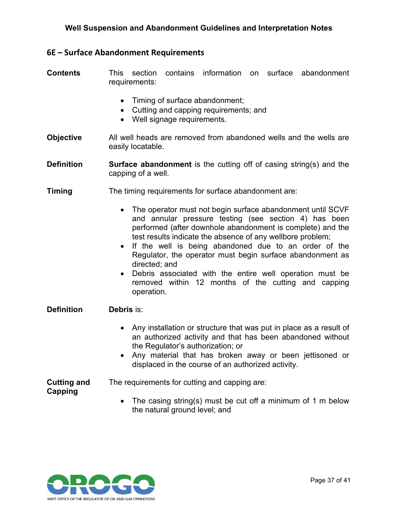#### <span id="page-38-0"></span>**6E – Surface Abandonment Requirements**

**Contents** This section contains information on surface abandonment requirements:

- Timing of surface abandonment;
- Cutting and capping requirements; and
- Well signage requirements.
- **Objective** All well heads are removed from abandoned wells and the wells are easily locatable.

**Definition Surface abandonment** is the cutting off of casing string(s) and the capping of a well.

- **Timing The timing requirements for surface abandonment are:** 
	- The operator must not begin surface abandonment until SCVF and annular pressure testing (see section 4) has been performed (after downhole abandonment is complete) and the test results indicate the absence of any wellbore problem;
	- If the well is being abandoned due to an order of the Regulator, the operator must begin surface abandonment as directed; and
	- Debris associated with the entire well operation must be removed within 12 months of the cutting and capping operation.
- **Definition Debris** is:
	- Any installation or structure that was put in place as a result of an authorized activity and that has been abandoned without the Regulator's authorization; or
	- Any material that has broken away or been jettisoned or displaced in the course of an authorized activity.

**Cutting and Capping** The requirements for cutting and capping are:

• The casing string(s) must be cut off a minimum of 1 m below the natural ground level; and

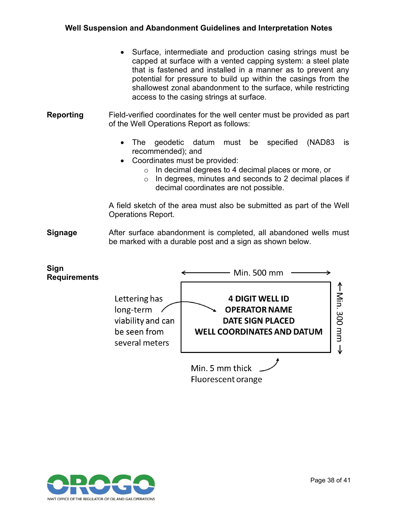- Surface, intermediate and production casing strings must be capped at surface with a vented capping system: a steel plate that is fastened and installed in a manner as to prevent any potential for pressure to build up within the casings from the shallowest zonal abandonment to the surface, while restricting access to the casing strings at surface.
- **Reporting** Field-verified coordinates for the well center must be provided as part of the Well Operations Report as follows:
	- The geodetic datum must be specified (NAD83 is recommended); and
	- Coordinates must be provided:
		- o In decimal degrees to 4 decimal places or more, or
		- o In degrees, minutes and seconds to 2 decimal places if decimal coordinates are not possible.

A field sketch of the area must also be submitted as part of the Well Operations Report.

**Signage** After surface abandonment is completed, all abandoned wells must be marked with a durable post and a sign as shown below.



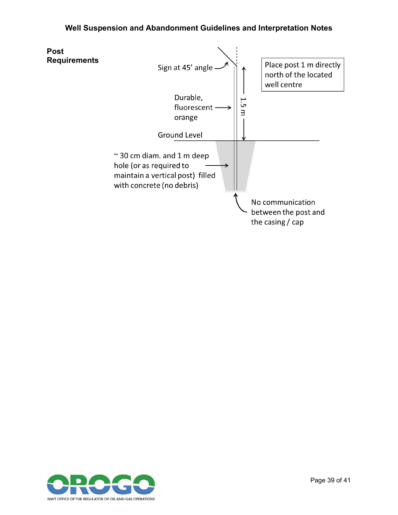

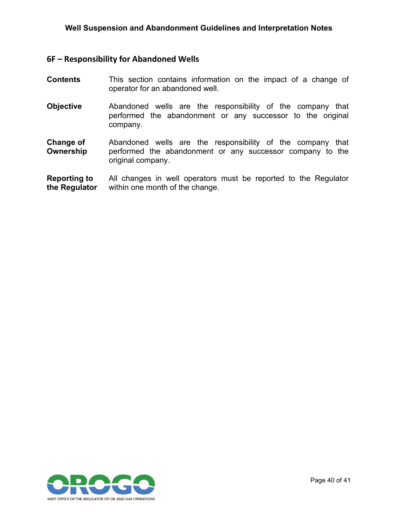#### <span id="page-41-0"></span>**6F – Responsibility for Abandoned Wells**

- **Contents** This section contains information on the impact of a change of operator for an abandoned well.
- **Objective** Abandoned wells are the responsibility of the company that performed the abandonment or any successor to the original company.
- **Change of Ownership** Abandoned wells are the responsibility of the company that performed the abandonment or any successor company to the original company.
- **Reporting to the Regulator** All changes in well operators must be reported to the Regulator within one month of the change.